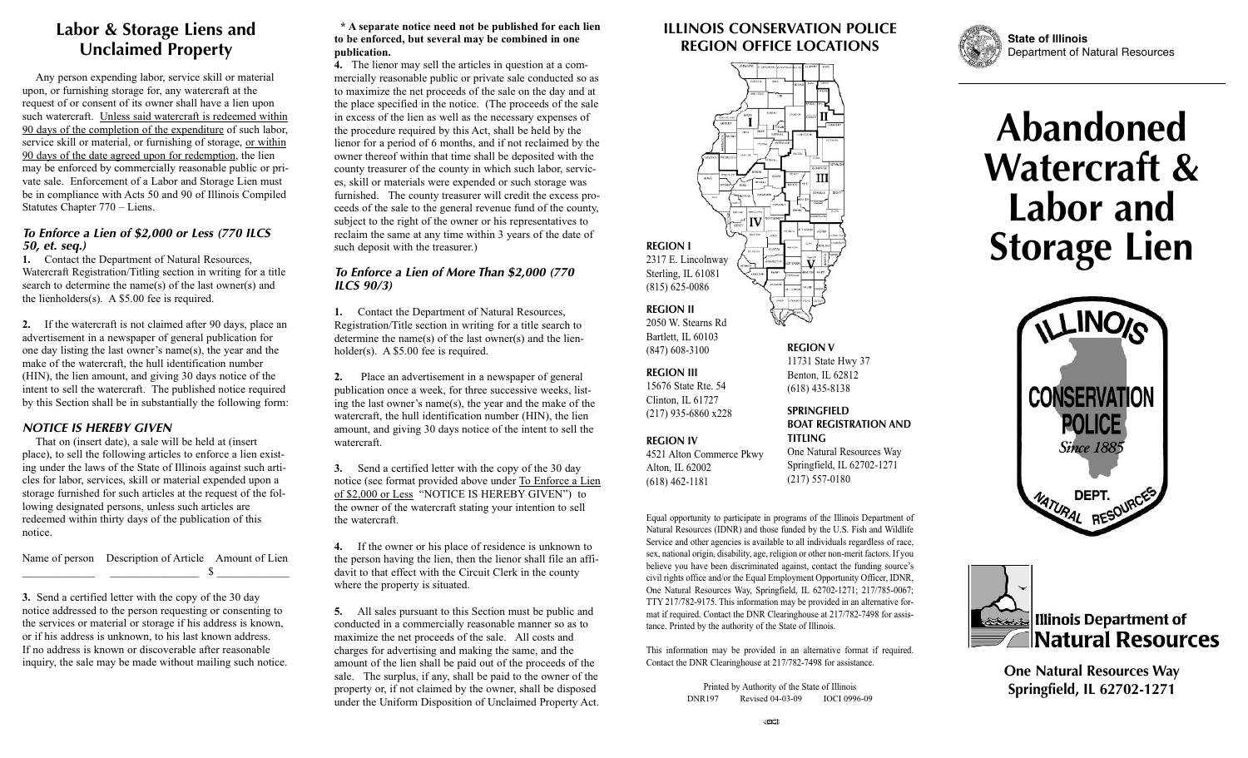## **Labor & Storage Liens and Unclaimed Property**

Any person expending labor, service skill or material upon, or furnishing storage for, any watercraft at the request of or consent of its owner shall have a lien upon such watercraft. Unless said watercraft is redeemed within 90 days of the completion of the expenditure of such labor, service skill or material, or furnishing of storage, or within 90 days of the date agreed upon for redemption, the lien may be enforced by commercially reasonable public or private sale. Enforcement of a Labor and Storage Lien must be in compliance with Acts 50 and 90 of Illinois Compiled Statutes Chapter 770 – Liens.

#### *To Enforce a Lien of \$2,000 or Less (770 ILCS 50, et. seq.)*

**1.** Contact the Department of Natural Resources, Watercraft Registration/Titling section in writing for a title search to determine the name(s) of the last owner(s) and the lienholders(s). A \$5.00 fee is required.

**2.** If the watercraft is not claimed after 90 days, place an advertisement in a newspaper of general publication for one day listing the last owner's name(s), the year and the make of the watercraft, the hull identification number (HIN), the lien amount, and giving 30 days notice of the intent to sell the watercraft. The published notice required by this Section shall be in substantially the following form:

#### *NOTICE IS HEREBY GIVEN*

That on (insert date), a sale will be held at (insert place), to sell the following articles to enforce a lien existing under the laws of the State of Illinois against such articles for labor, services, skill or material expended upon a storage furnished for such articles at the request of the following designated persons, unless such articles are redeemed within thirty days of the publication of this notice.

Name of person Description of Article Amount of Lien  $\mathbb{S}$ 

**3.** Send a certified letter with the copy of the 30 day notice addressed to the person requesting or consenting to the services or material or storage if his address is known, or if his address is unknown, to his last known address. If no address is known or discoverable after reasonable inquiry, the sale may be made without mailing such notice.

#### **\* A separate notice need not be published for each lien to be enforced, but several may be combined in one publication.**

**4.** The lienor may sell the articles in question at a commercially reasonable public or private sale conducted so as to maximize the net proceeds of the sale on the day and at the place specified in the notice. (The proceeds of the sale in excess of the lien as well as the necessary expenses of the procedure required by this Act, shall be held by the lienor for a period of 6 months, and if not reclaimed by the owner thereof within that time shall be deposited with the county treasurer of the county in which such labor, services, skill or materials were expended or such storage was furnished. The county treasurer will credit the excess proceeds of the sale to the general revenue fund of the county, subject to the right of the owner or his representatives to reclaim the same at any time within 3 years of the date of such deposit with the treasurer.)

#### *To Enforce a Lien of More Than \$2,000 (770 ILCS 90/3)*

**1.** Contact the Department of Natural Resources, Registration/Title section in writing for a title search to determine the name(s) of the last owner(s) and the lienholder(s). A \$5.00 fee is required.

**2.** Place an advertisement in a newspaper of general publication once a week, for three successive weeks, listing the last owner's name(s), the year and the make of the watercraft, the hull identification number (HIN), the lien amount, and giving 30 days notice of the intent to sell the watercraft.

**3.** Send a certified letter with the copy of the 30 day notice (see format provided above under To Enforce a Lien of \$2,000 or Less "NOTICE IS HEREBY GIVEN") to the owner of the watercraft stating your intention to sell the watercraft.

**4.** If the owner or his place of residence is unknown to the person having the lien, then the lienor shall file an affidavit to that effect with the Circuit Clerk in the county where the property is situated.

**5.** All sales pursuant to this Section must be public and conducted in a commercially reasonable manner so as to maximize the net proceeds of the sale. All costs and charges for advertising and making the same, and the amount of the lien shall be paid out of the proceeds of the sale. The surplus, if any, shall be paid to the owner of the property or, if not claimed by the owner, shall be disposed under the Uniform Disposition of Unclaimed Property Act.

### **ILLINOIS CONSERVATION POLICE REGION OFFICE LOCATIONS**



11731 State Hwy 37 Benton, IL 62812 (618) 435-8138

#### **SPRINGFIELD BOAT REGISTRATION AND TITLING**

**REGION IV** 4521 Alton Commerce Pkwy Alton, IL 62002

**REGION III** 15676 State Rte. 54 Clinton, IL 61727 (217) 935-6860 x228

(618) 462-1181

One Natural Resources Way Springfield, IL 62702-1271 (217) 557-0180

Equal opportunity to participate in programs of the Illinois Department of Natural Resources (IDNR) and those funded by the U.S. Fish and Wildlife Service and other agencies is available to all individuals regardless of race, sex, national origin, disability, age, religion or other non-merit factors. If you believe you have been discriminated against, contact the funding source's civil rights office and/or the Equal Employment Opportunity Officer, IDNR, One Natural Resources Way, Springfield, IL 62702-1271; 217/785-0067; TTY 217/782-9175. This information may be provided in an alternative format if required. Contact the DNR Clearinghouse at 217/782-7498 for assistance. Printed by the authority of the State of Illinois.

This information may be provided in an alternative format if required. Contact the DNR Clearinghouse at 217/782-7498 for assistance.

> Printed by Authority of the State of Illinois DNR197 Revised 04-03-09 IOCI 0996-09



**State of Illinois** Department of Natural Resources

# **Abandoned Watercraft & Labor and Storage Lien**





**One Natural Resources Way Springfield, IL 62702-1271**